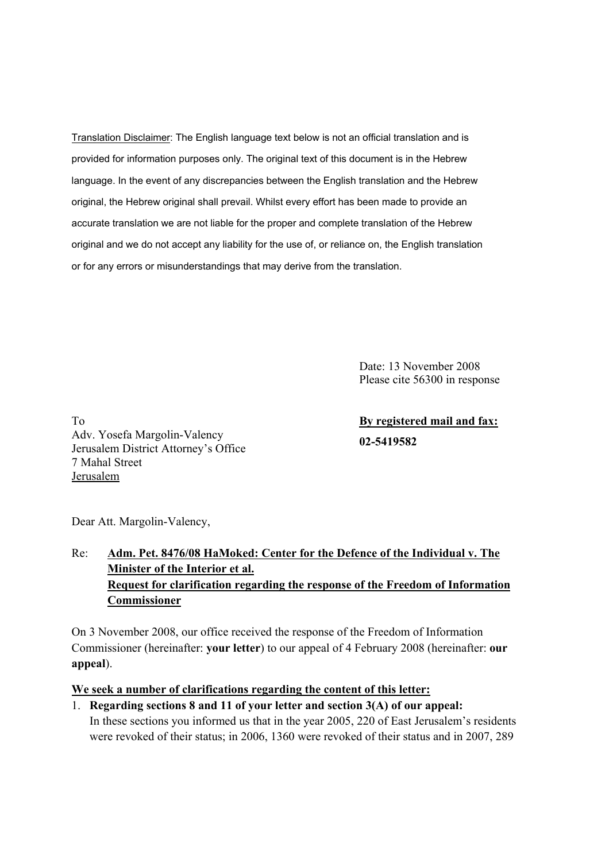Translation Disclaimer: The English language text below is not an official translation and is provided for information purposes only. The original text of this document is in the Hebrew language. In the event of any discrepancies between the English translation and the Hebrew original, the Hebrew original shall prevail. Whilst every effort has been made to provide an accurate translation we are not liable for the proper and complete translation of the Hebrew original and we do not accept any liability for the use of, or reliance on, the English translation or for any errors or misunderstandings that may derive from the translation.

> Date: 13 November 2008 Please cite 56300 in response

To Adv. Yosefa Margolin-Valency Jerusalem District Attorney's Office 7 Mahal Street Jerusalem

**By registered mail and fax: 02-5419582** 

Dear Att. Margolin-Valency,

# Re: **Adm. Pet. 8476/08 HaMoked: Center for the Defence of the Individual v. The Minister of the Interior et al. Request for clarification regarding the response of the Freedom of Information Commissioner**

On 3 November 2008, our office received the response of the Freedom of Information Commissioner (hereinafter: **your letter**) to our appeal of 4 February 2008 (hereinafter: **our appeal**).

#### **We seek a number of clarifications regarding the content of this letter:**

1. **Regarding sections 8 and 11 of your letter and section 3(A) of our appeal:** In these sections you informed us that in the year 2005, 220 of East Jerusalem's residents were revoked of their status; in 2006, 1360 were revoked of their status and in 2007, 289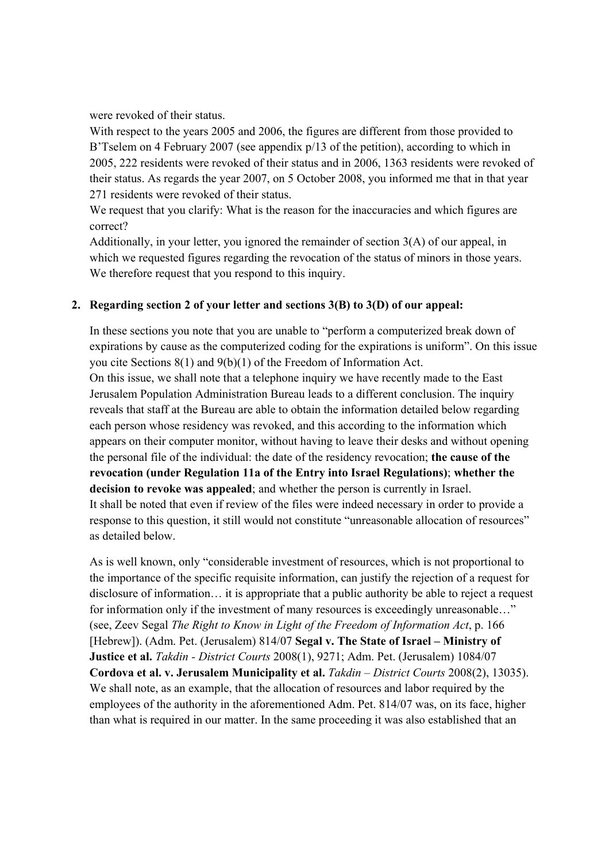were revoked of their status.

With respect to the years 2005 and 2006, the figures are different from those provided to B'Tselem on 4 February 2007 (see appendix p/13 of the petition), according to which in 2005, 222 residents were revoked of their status and in 2006, 1363 residents were revoked of their status. As regards the year 2007, on 5 October 2008, you informed me that in that year 271 residents were revoked of their status.

We request that you clarify: What is the reason for the inaccuracies and which figures are correct?

Additionally, in your letter, you ignored the remainder of section 3(A) of our appeal, in which we requested figures regarding the revocation of the status of minors in those years. We therefore request that you respond to this inquiry.

# **2. Regarding section 2 of your letter and sections 3(B) to 3(D) of our appeal:**

In these sections you note that you are unable to "perform a computerized break down of expirations by cause as the computerized coding for the expirations is uniform". On this issue you cite Sections 8(1) and 9(b)(1) of the Freedom of Information Act.

On this issue, we shall note that a telephone inquiry we have recently made to the East Jerusalem Population Administration Bureau leads to a different conclusion. The inquiry reveals that staff at the Bureau are able to obtain the information detailed below regarding each person whose residency was revoked, and this according to the information which appears on their computer monitor, without having to leave their desks and without opening the personal file of the individual: the date of the residency revocation; **the cause of the revocation (under Regulation 11a of the Entry into Israel Regulations)**; **whether the decision to revoke was appealed**; and whether the person is currently in Israel. It shall be noted that even if review of the files were indeed necessary in order to provide a response to this question, it still would not constitute "unreasonable allocation of resources" as detailed below.

As is well known, only "considerable investment of resources, which is not proportional to the importance of the specific requisite information, can justify the rejection of a request for disclosure of information… it is appropriate that a public authority be able to reject a request for information only if the investment of many resources is exceedingly unreasonable..." (see, Zeev Segal *The Right to Know in Light of the Freedom of Information Act*, p. 166 [Hebrew]). (Adm. Pet. (Jerusalem) 814/07 **Segal v. The State of Israel – Ministry of Justice et al.** *Takdin - District Courts* 2008(1), 9271; Adm. Pet. (Jerusalem) 1084/07 **Cordova et al. v. Jerusalem Municipality et al.** *Takdin – District Courts* 2008(2), 13035). We shall note, as an example, that the allocation of resources and labor required by the employees of the authority in the aforementioned Adm. Pet. 814/07 was, on its face, higher than what is required in our matter. In the same proceeding it was also established that an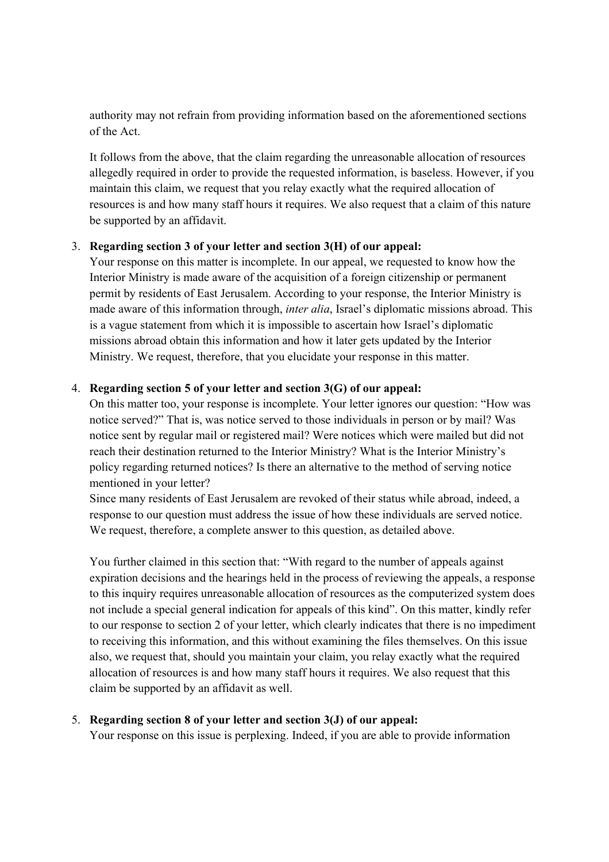authority may not refrain from providing information based on the aforementioned sections of the Act.

It follows from the above, that the claim regarding the unreasonable allocation of resources allegedly required in order to provide the requested information, is baseless. However, if you maintain this claim, we request that you relay exactly what the required allocation of resources is and how many staff hours it requires. We also request that a claim of this nature be supported by an affidavit.

## 3. **Regarding section 3 of your letter and section 3(H) of our appeal:**

Your response on this matter is incomplete. In our appeal, we requested to know how the Interior Ministry is made aware of the acquisition of a foreign citizenship or permanent permit by residents of East Jerusalem. According to your response, the Interior Ministry is made aware of this information through, *inter alia*, Israel's diplomatic missions abroad. This is a vague statement from which it is impossible to ascertain how Israel's diplomatic missions abroad obtain this information and how it later gets updated by the Interior Ministry. We request, therefore, that you elucidate your response in this matter.

## 4. **Regarding section 5 of your letter and section 3(G) of our appeal:**

On this matter too, your response is incomplete. Your letter ignores our question: "How was notice served?" That is, was notice served to those individuals in person or by mail? Was notice sent by regular mail or registered mail? Were notices which were mailed but did not reach their destination returned to the Interior Ministry? What is the Interior Ministry's policy regarding returned notices? Is there an alternative to the method of serving notice mentioned in your letter?

Since many residents of East Jerusalem are revoked of their status while abroad, indeed, a response to our question must address the issue of how these individuals are served notice. We request, therefore, a complete answer to this question, as detailed above.

You further claimed in this section that: "With regard to the number of appeals against expiration decisions and the hearings held in the process of reviewing the appeals, a response to this inquiry requires unreasonable allocation of resources as the computerized system does not include a special general indication for appeals of this kind". On this matter, kindly refer to our response to section 2 of your letter, which clearly indicates that there is no impediment to receiving this information, and this without examining the files themselves. On this issue also, we request that, should you maintain your claim, you relay exactly what the required allocation of resources is and how many staff hours it requires. We also request that this claim be supported by an affidavit as well.

#### 5. **Regarding section 8 of your letter and section 3(J) of our appeal:**

Your response on this issue is perplexing. Indeed, if you are able to provide information